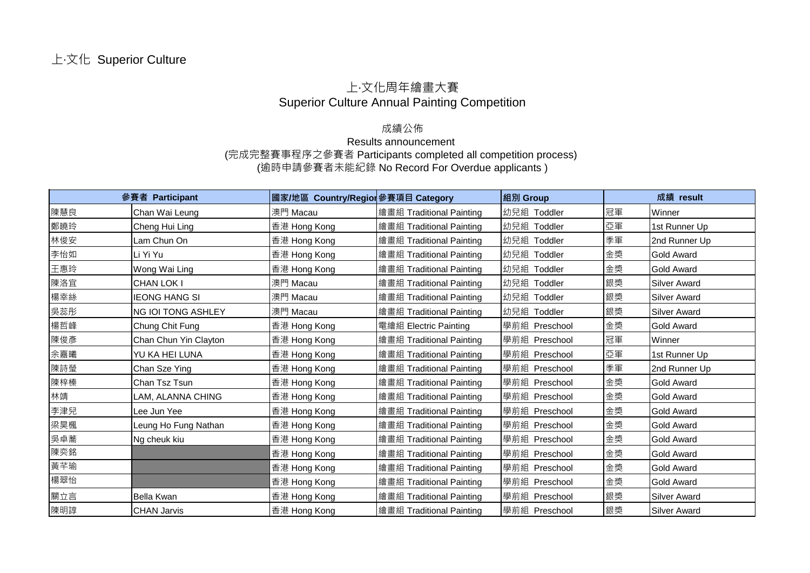## 上‧文化周年繪畫大賽 Superior Culture Annual Painting Competition

## 成績公佈

## Results announcement (完成完整賽事程序之參賽者 Participants completed all competition process) (逾時申請參賽者未能紀錄 No Record For Overdue applicants )

|     | 參賽者 Participant           | 國家/地區 Country/Region 參賽項目 Category |                          | 組別 Group       |    | 成績 result           |
|-----|---------------------------|------------------------------------|--------------------------|----------------|----|---------------------|
| 陳慧良 | Chan Wai Leung            | 澳門 Macau                           | 繪畫組 Traditional Painting | 幼兒組 Toddler    | 冠軍 | Winner              |
| 鄭曉玲 | Cheng Hui Ling            | 香港 Hong Kong                       | 繪畫組 Traditional Painting | 幼兒組 Toddler    | 亞軍 | 1st Runner Up       |
| 林俊安 | Lam Chun On               | 香港 Hong Kong                       | 繪畫組 Traditional Painting | 幼兒組<br>Toddler | 季軍 | 2nd Runner Up       |
| 李怡如 | Li Yi Yu                  | 香港 Hong Kong                       | 繪畫組 Traditional Painting | 幼兒組 Toddler    | 金獎 | <b>Gold Award</b>   |
| 王惠玲 | Wong Wai Ling             | 香港 Hong Kong                       | 繪畫組 Traditional Painting | 幼兒組 Toddler    | 金獎 | <b>Gold Award</b>   |
| 陳洛宜 | CHAN LOK I                | 澳門 Macau                           | 繪畫組 Traditional Painting | 幼兒組 Toddler    | 銀獎 | <b>Silver Award</b> |
| 楊幸絲 | <b>IEONG HANG SI</b>      | 澳門 Macau                           | 繪畫組 Traditional Painting | 幼兒組<br>Toddler | 銀獎 | <b>Silver Award</b> |
| 吳蕊彤 | <b>NG IOI TONG ASHLEY</b> | 澳門 Macau                           | 繪畫組 Traditional Painting | 幼兒組<br>Toddler | 銀獎 | <b>Silver Award</b> |
| 楊哲峰 | Chung Chit Fung           | 香港 Hong Kong                       | 電繪組 Electric Painting    | 學前組 Preschool  | 金獎 | <b>Gold Award</b>   |
| 陳俊彥 | Chan Chun Yin Clayton     | 香港 Hong Kong                       | 繪畫組 Traditional Painting | 學前組 Preschool  | 冠軍 | Winner              |
| 余嘉曦 | YU KA HEI LUNA            | 香港 Hong Kong                       | 繪畫組 Traditional Painting | 學前組 Preschool  | 亞軍 | 1st Runner Up       |
| 陳詩瑩 | Chan Sze Ying             | 香港 Hong Kong                       | 繪畫組 Traditional Painting | 學前組 Preschool  | 季軍 | 2nd Runner Up       |
| 陳梓榛 | Chan Tsz Tsun             | 香港 Hong Kong                       | 繪畫組 Traditional Painting | 學前組 Preschool  | 金獎 | <b>Gold Award</b>   |
| 林靖  | LAM, ALANNA CHING         | 香港 Hong Kong                       | 繪畫組 Traditional Painting | 學前組 Preschool  | 金獎 | <b>Gold Award</b>   |
| 李津兒 | Lee Jun Yee               | 香港 Hong Kong                       | 繪畫組 Traditional Painting | 學前組 Preschool  | 金獎 | <b>Gold Award</b>   |
| 梁昊楓 | Leung Ho Fung Nathan      | 香港 Hong Kong                       | 繪畫組 Traditional Painting | 學前組 Preschool  | 金獎 | <b>Gold Award</b>   |
| 吳卓蕎 | Ng cheuk kiu              | 香港 Hong Kong                       | 繪畫組 Traditional Painting | 學前組 Preschool  | 金獎 | <b>Gold Award</b>   |
| 陳奕銘 |                           | 香港 Hong Kong                       | 繪畫組 Traditional Painting | 學前組 Preschool  | 金獎 | <b>Gold Award</b>   |
| 黃芊瑜 |                           | 香港 Hong Kong                       | 繪畫組 Traditional Painting | 學前組 Preschool  | 金獎 | <b>Gold Award</b>   |
| 楊翠怡 |                           | 香港 Hong Kong                       | 繪畫組 Traditional Painting | 學前組 Preschool  | 金獎 | <b>Gold Award</b>   |
| 關立言 | <b>Bella Kwan</b>         | 香港 Hong Kong                       | 繪畫組 Traditional Painting | 學前組 Preschool  | 銀獎 | <b>Silver Award</b> |
| 陳明諄 | <b>CHAN Jarvis</b>        | 香港 Hong Kong                       | 繪畫組 Traditional Painting | 學前組 Preschool  | 銀獎 | <b>Silver Award</b> |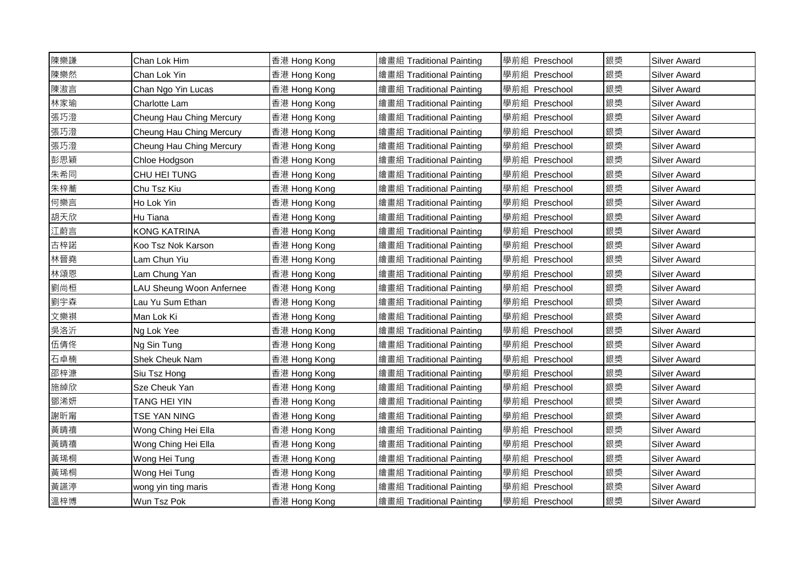| 陳樂謙 | Chan Lok Him             | 香港 Hong Kong | 繪畫組 Traditional Painting | 學前組 Preschool | 銀獎 | <b>Silver Award</b> |
|-----|--------------------------|--------------|--------------------------|---------------|----|---------------------|
| 陳樂然 | Chan Lok Yin             | 香港 Hong Kong | 繪畫組 Traditional Painting | 學前組 Preschool | 銀獎 | <b>Silver Award</b> |
| 陳滶言 | Chan Ngo Yin Lucas       | 香港 Hong Kong | 繪畫組 Traditional Painting | 學前組 Preschool | 銀獎 | <b>Silver Award</b> |
| 林家瑜 | Charlotte Lam            | 香港 Hong Kong | 繪畫組 Traditional Painting | 學前組 Preschool | 銀獎 | <b>Silver Award</b> |
| 張巧澄 | Cheung Hau Ching Mercury | 香港 Hong Kong | 繪畫組 Traditional Painting | 學前組 Preschool | 銀獎 | <b>Silver Award</b> |
| 張巧澄 | Cheung Hau Ching Mercury | 香港 Hong Kong | 繪畫組 Traditional Painting | 學前組 Preschool | 銀獎 | <b>Silver Award</b> |
| 張巧澄 | Cheung Hau Ching Mercury | 香港 Hong Kong | 繪畫組 Traditional Painting | 學前組 Preschool | 銀獎 | <b>Silver Award</b> |
| 彭思穎 | Chloe Hodgson            | 香港 Hong Kong | 繪畫組 Traditional Painting | 學前組 Preschool | 銀獎 | <b>Silver Award</b> |
| 朱希同 | CHU HEI TUNG             | 香港 Hong Kong | 繪畫組 Traditional Painting | 學前組 Preschool | 銀獎 | <b>Silver Award</b> |
| 朱梓蕎 | Chu Tsz Kiu              | 香港 Hong Kong | 繪畫組 Traditional Painting | 學前組 Preschool | 銀獎 | <b>Silver Award</b> |
| 何樂言 | Ho Lok Yin               | 香港 Hong Kong | 繪畫組 Traditional Painting | 學前組 Preschool | 銀獎 | <b>Silver Award</b> |
| 胡天欣 | Hu Tiana                 | 香港 Hong Kong | 繪畫組 Traditional Painting | 學前組 Preschool | 銀獎 | <b>Silver Award</b> |
| 江蔚言 | <b>KONG KATRINA</b>      | 香港 Hong Kong | 繪畫組 Traditional Painting | 學前組 Preschool | 銀獎 | <b>Silver Award</b> |
| 古梓諾 | Koo Tsz Nok Karson       | 香港 Hong Kong | 繪畫組 Traditional Painting | 學前組 Preschool | 銀獎 | <b>Silver Award</b> |
| 林晉堯 | Lam Chun Yiu             | 香港 Hong Kong | 繪畫組 Traditional Painting | 學前組 Preschool | 銀獎 | <b>Silver Award</b> |
| 林頌恩 | Lam Chung Yan            | 香港 Hong Kong | 繪畫組 Traditional Painting | 學前組 Preschool | 銀獎 | <b>Silver Award</b> |
| 劉尚桓 | LAU Sheung Woon Anfernee | 香港 Hong Kong | 繪畫組 Traditional Painting | 學前組 Preschool | 銀獎 | <b>Silver Award</b> |
| 劉宇森 | Lau Yu Sum Ethan         | 香港 Hong Kong | 繪畫組 Traditional Painting | 學前組 Preschool | 銀獎 | <b>Silver Award</b> |
| 文樂祺 | Man Lok Ki               | 香港 Hong Kong | 繪畫組 Traditional Painting | 學前組 Preschool | 銀獎 | <b>Silver Award</b> |
| 吳洛沂 | Ng Lok Yee               | 香港 Hong Kong | 繪畫組 Traditional Painting | 學前組 Preschool | 銀獎 | <b>Silver Award</b> |
| 伍倩佟 | Ng Sin Tung              | 香港 Hong Kong | 繪畫組 Traditional Painting | 學前組 Preschool | 銀獎 | <b>Silver Award</b> |
| 石卓楠 | <b>Shek Cheuk Nam</b>    | 香港 Hong Kong | 繪畫組 Traditional Painting | 學前組 Preschool | 銀獎 | <b>Silver Award</b> |
| 邵梓漮 | Siu Tsz Hong             | 香港 Hong Kong | 繪畫組 Traditional Painting | 學前組 Preschool | 銀獎 | <b>Silver Award</b> |
| 施綽欣 | Sze Cheuk Yan            | 香港 Hong Kong | 繪畫組 Traditional Painting | 學前組 Preschool | 銀獎 | <b>Silver Award</b> |
| 鄧浠妍 | TANG HEI YIN             | 香港 Hong Kong | 繪畫組 Traditional Painting | 學前組 Preschool | 銀獎 | Silver Award        |
| 謝昕甯 | TSE YAN NING             | 香港 Hong Kong | 繪畫組 Traditional Painting | 學前組 Preschool | 銀獎 | <b>Silver Award</b> |
| 黃晴禧 | Wong Ching Hei Ella      | 香港 Hong Kong | 繪畫組 Traditional Painting | 學前組 Preschool | 銀獎 | <b>Silver Award</b> |
| 黃晴禧 | Wong Ching Hei Ella      | 香港 Hong Kong | 繪畫組 Traditional Painting | 學前組 Preschool | 銀獎 | <b>Silver Award</b> |
| 黃琋桐 | Wong Hei Tung            | 香港 Hong Kong | 繪畫組 Traditional Painting | 學前組 Preschool | 銀獎 | <b>Silver Award</b> |
| 黃琋桐 | Wong Hei Tung            | 香港 Hong Kong | 繪畫組 Traditional Painting | 學前組 Preschool | 銀獎 | <b>Silver Award</b> |
| 黃讌渟 | wong yin ting maris      | 香港 Hong Kong | 繪畫組 Traditional Painting | 學前組 Preschool | 銀獎 | <b>Silver Award</b> |
| 溫梓博 | Wun Tsz Pok              | 香港 Hong Kong | 繪畫組 Traditional Painting | 學前組 Preschool | 銀獎 | <b>Silver Award</b> |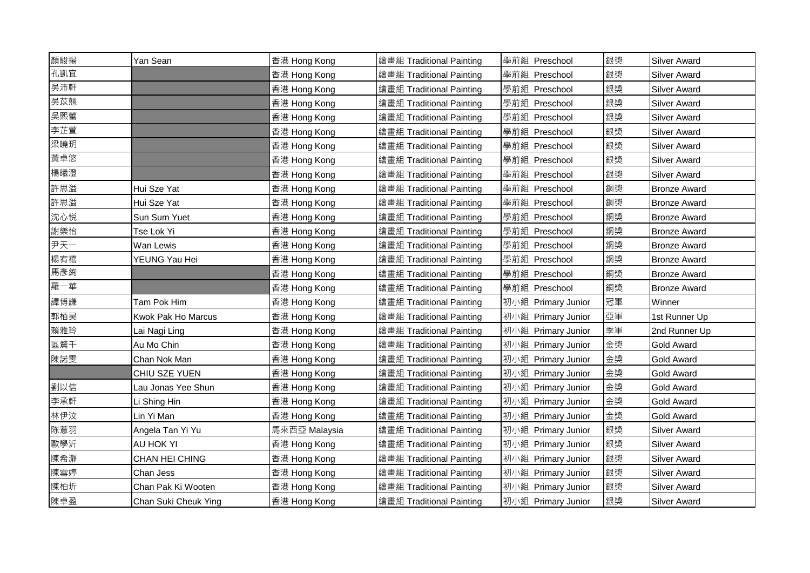| 顏駿揚 | Yan Sean             | 香港 Hong Kong  | 繪畫組 Traditional Painting | 學前組 Preschool      | 銀獎 | <b>Silver Award</b> |
|-----|----------------------|---------------|--------------------------|--------------------|----|---------------------|
| 孔凱宜 |                      | 香港 Hong Kong  | 繪畫組 Traditional Painting | 學前組 Preschool      | 銀獎 | <b>Silver Award</b> |
| 吳沛軒 |                      | 香港 Hong Kong  | 繪畫組 Traditional Painting | 學前組 Preschool      | 銀獎 | <b>Silver Award</b> |
| 吳苡翹 |                      | 香港 Hong Kong  | 繪畫組 Traditional Painting | 學前組 Preschool      | 銀獎 | <b>Silver Award</b> |
| 吳熙蕾 |                      | 香港 Hong Kong  | 繪畫組 Traditional Painting | 學前組 Preschool      | 銀獎 | <b>Silver Award</b> |
| 李芷萱 |                      | 香港 Hong Kong  | 繪畫組 Traditional Painting | 學前組 Preschool      | 銀獎 | <b>Silver Award</b> |
| 梁曉玥 |                      | 香港 Hong Kong  | 繪畫組 Traditional Painting | 學前組 Preschool      | 銀獎 | <b>Silver Award</b> |
| 黃卓悠 |                      | 香港 Hong Kong  | 繪畫組 Traditional Painting | 學前組 Preschool      | 銀獎 | <b>Silver Award</b> |
| 楊曦澄 |                      | 香港 Hong Kong  | 繪畫組 Traditional Painting | 學前組 Preschool      | 銀獎 | <b>Silver Award</b> |
| 許思溢 | Hui Sze Yat          | 香港 Hong Kong  | 繪畫組 Traditional Painting | 學前組 Preschool      | 銅獎 | <b>Bronze Award</b> |
| 許思溢 | Hui Sze Yat          | 香港 Hong Kong  | 繪畫組 Traditional Painting | 學前組 Preschool      | 銅獎 | <b>Bronze Award</b> |
| 沈心悦 | Sun Sum Yuet         | 香港 Hong Kong  | 繪畫組 Traditional Painting | 學前組 Preschool      | 銅獎 | <b>Bronze Award</b> |
| 謝樂怡 | Tse Lok Yi           | 香港 Hong Kong  | 繪畫組 Traditional Painting | 學前組 Preschool      | 銅獎 | <b>Bronze Award</b> |
| 尹天一 | Wan Lewis            | 香港 Hong Kong  | 繪畫組 Traditional Painting | 學前組 Preschool      | 銅獎 | <b>Bronze Award</b> |
| 楊宥禧 | YEUNG Yau Hei        | 香港 Hong Kong  | 繪畫組 Traditional Painting | 學前組 Preschool      | 銅獎 | <b>Bronze Award</b> |
| 馬彥絢 |                      | 香港 Hong Kong  | 繪畫組 Traditional Painting | 學前組 Preschool      | 銅獎 | <b>Bronze Award</b> |
| 羅一華 |                      | 香港 Hong Kong  | 繪畫組 Traditional Painting | 學前組 Preschool      | 銅獎 | <b>Bronze Award</b> |
| 譚博謙 | Tam Pok Him          | 香港 Hong Kong  | 繪畫組 Traditional Painting | 初小組 Primary Junior | 冠軍 | Winner              |
| 郭栢昊 | Kwok Pak Ho Marcus   | 香港 Hong Kong  | 繪畫組 Traditional Painting | 初小組 Primary Junior | 亞軍 | 1st Runner Up       |
| 賴雅玲 | Lai Nagi Ling        | 香港 Hong Kong  | 繪畫組 Traditional Painting | 初小組 Primary Junior | 季軍 | 2nd Runner Up       |
| 區騖千 | Au Mo Chin           | 香港 Hong Kong  | 繪畫組 Traditional Painting | 初小組 Primary Junior | 金獎 | <b>Gold Award</b>   |
| 陳諾雯 | Chan Nok Man         | 香港 Hong Kong  | 繪畫組 Traditional Painting | 初小組 Primary Junior | 金獎 | <b>Gold Award</b>   |
|     | CHIU SZE YUEN        | 香港 Hong Kong  | 繪畫組 Traditional Painting | 初小組 Primary Junior | 金獎 | <b>Gold Award</b>   |
| 劉以信 | Lau Jonas Yee Shun   | 香港 Hong Kong  | 繪畫組 Traditional Painting | 初小組 Primary Junior | 金獎 | <b>Gold Award</b>   |
| 李承軒 | Li Shing Hin         | 香港 Hong Kong  | 繪畫組 Traditional Painting | 初小組 Primary Junior | 金獎 | <b>Gold Award</b>   |
| 林伊汶 | Lin Yi Man           | 香港 Hong Kong  | 繪畫組 Traditional Painting | 初小組 Primary Junior | 金獎 | <b>Gold Award</b>   |
| 陈薏羽 | Angela Tan Yi Yu     | 馬來西亞 Malaysia | 繪畫組 Traditional Painting | 初小組 Primary Junior | 銀獎 | <b>Silver Award</b> |
| 歐學沂 | AU HOK YI            | 香港 Hong Kong  | 繪畫組 Traditional Painting | 初小組 Primary Junior | 銀獎 | <b>Silver Award</b> |
| 陳希瀞 | CHAN HEI CHING       | 香港 Hong Kong  | 繪畫組 Traditional Painting | 初小組 Primary Junior | 銀獎 | <b>Silver Award</b> |
| 陳雪婷 | Chan Jess            | 香港 Hong Kong  | 繪畫組 Traditional Painting | 初小組 Primary Junior | 銀獎 | <b>Silver Award</b> |
| 陳柏圻 | Chan Pak Ki Wooten   | 香港 Hong Kong  | 繪畫組 Traditional Painting | 初小組 Primary Junior | 銀獎 | <b>Silver Award</b> |
| 陳卓盈 | Chan Suki Cheuk Ying | 香港 Hong Kong  | 繪畫組 Traditional Painting | 初小組 Primary Junior | 銀獎 | <b>Silver Award</b> |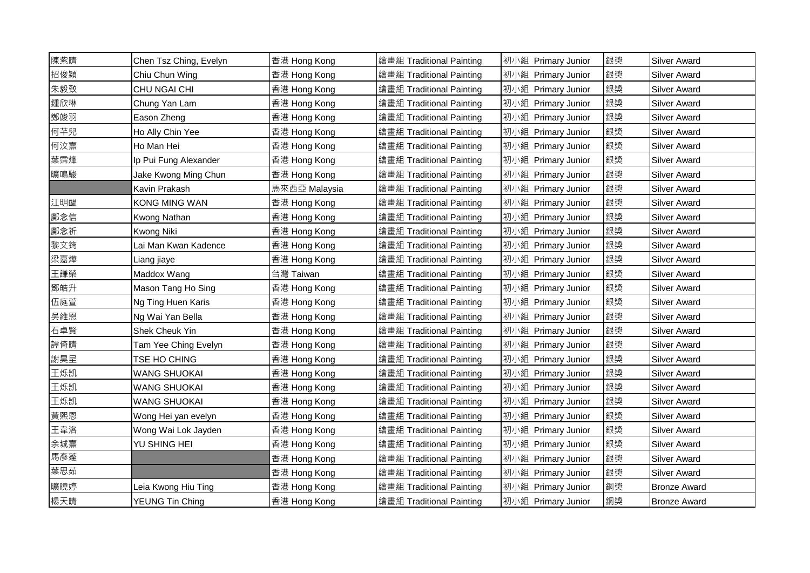| 陳紫晴 | Chen Tsz Ching, Evelyn | 香港 Hong Kong  | 繪畫組 Traditional Painting | 初小組 Primary Junior | 銀獎 | <b>Silver Award</b> |
|-----|------------------------|---------------|--------------------------|--------------------|----|---------------------|
| 招俊穎 | Chiu Chun Wing         | 香港 Hong Kong  | 繪畫組 Traditional Painting | 初小組 Primary Junior | 銀獎 | <b>Silver Award</b> |
| 朱毅致 | CHU NGAI CHI           | 香港 Hong Kong  | 繪畫組 Traditional Painting | 初小組 Primary Junior | 銀獎 | <b>Silver Award</b> |
| 鍾欣琳 | Chung Yan Lam          | 香港 Hong Kong  | 繪畫組 Traditional Painting | 初小組 Primary Junior | 銀獎 | <b>Silver Award</b> |
| 鄭竣羽 | Eason Zheng            | 香港 Hong Kong  | 繪畫組 Traditional Painting | 初小組 Primary Junior | 銀獎 | <b>Silver Award</b> |
| 何芊兒 | Ho Ally Chin Yee       | 香港 Hong Kong  | 繪畫組 Traditional Painting | 初小組 Primary Junior | 銀獎 | Silver Award        |
| 何汶熹 | Ho Man Hei             | 香港 Hong Kong  | 繪畫組 Traditional Painting | 初小組 Primary Junior | 銀獎 | <b>Silver Award</b> |
| 葉霈烽 | Ip Pui Fung Alexander  | 香港 Hong Kong  | 繪畫組 Traditional Painting | 初小組 Primary Junior | 銀獎 | <b>Silver Award</b> |
| 曠鳴駿 | Jake Kwong Ming Chun   | 香港 Hong Kong  | 繪畫組 Traditional Painting | 初小組 Primary Junior | 銀獎 | <b>Silver Award</b> |
|     | Kavin Prakash          | 馬來西亞 Malaysia | 繪畫組 Traditional Painting | 初小組 Primary Junior | 銀獎 | <b>Silver Award</b> |
| 江明醖 | <b>KONG MING WAN</b>   | 香港 Hong Kong  | 繪畫組 Traditional Painting | 初小組 Primary Junior | 銀獎 | <b>Silver Award</b> |
| 鄺念信 | Kwong Nathan           | 香港 Hong Kong  | 繪畫組 Traditional Painting | 初小組 Primary Junior | 銀獎 | <b>Silver Award</b> |
| 鄺念祈 | <b>Kwong Niki</b>      | 香港 Hong Kong  | 繪畫組 Traditional Painting | 初小組 Primary Junior | 銀獎 | <b>Silver Award</b> |
| 黎文筠 | Lai Man Kwan Kadence   | 香港 Hong Kong  | 繪畫組 Traditional Painting | 初小組 Primary Junior | 銀獎 | <b>Silver Award</b> |
| 梁嘉燁 | Liang jiaye            | 香港 Hong Kong  | 繪畫組 Traditional Painting | 初小組 Primary Junior | 銀獎 | <b>Silver Award</b> |
| 王謙榮 | Maddox Wang            | 台灣 Taiwan     | 繪畫組 Traditional Painting | 初小組 Primary Junior | 銀獎 | <b>Silver Award</b> |
| 鄧皓升 | Mason Tang Ho Sing     | 香港 Hong Kong  | 繪畫組 Traditional Painting | 初小組 Primary Junior | 銀獎 | <b>Silver Award</b> |
| 伍庭萱 | Ng Ting Huen Karis     | 香港 Hong Kong  | 繪畫組 Traditional Painting | 初小組 Primary Junior | 銀獎 | <b>Silver Award</b> |
| 吳維恩 | Ng Wai Yan Bella       | 香港 Hong Kong  | 繪畫組 Traditional Painting | 初小組 Primary Junior | 銀獎 | <b>Silver Award</b> |
| 石卓賢 | Shek Cheuk Yin         | 香港 Hong Kong  | 繪畫組 Traditional Painting | 初小組 Primary Junior | 銀獎 | <b>Silver Award</b> |
| 譚倚晴 | Tam Yee Ching Evelyn   | 香港 Hong Kong  | 繪畫組 Traditional Painting | 初小組 Primary Junior | 銀獎 | <b>Silver Award</b> |
| 謝昊呈 | TSE HO CHING           | 香港 Hong Kong  | 繪畫組 Traditional Painting | 初小組 Primary Junior | 銀獎 | <b>Silver Award</b> |
| 王烁凯 | <b>WANG SHUOKAI</b>    | 香港 Hong Kong  | 繪畫組 Traditional Painting | 初小組 Primary Junior | 銀獎 | <b>Silver Award</b> |
| 王烁凯 | <b>WANG SHUOKAI</b>    | 香港 Hong Kong  | 繪畫組 Traditional Painting | 初小組 Primary Junior | 銀獎 | <b>Silver Award</b> |
| 王烁凯 | <b>WANG SHUOKAI</b>    | 香港 Hong Kong  | 繪畫組 Traditional Painting | 初小組 Primary Junior | 銀獎 | Silver Award        |
| 黃熙恩 | Wong Hei yan evelyn    | 香港 Hong Kong  | 繪畫組 Traditional Painting | 初小組 Primary Junior | 銀獎 | <b>Silver Award</b> |
| 王韋洛 | Wong Wai Lok Jayden    | 香港 Hong Kong  | 繪畫組 Traditional Painting | 初小組 Primary Junior | 銀獎 | Silver Award        |
| 余城熹 | YU SHING HEI           | 香港 Hong Kong  | 繪畫組 Traditional Painting | 初小組 Primary Junior | 銀獎 | <b>Silver Award</b> |
| 馬彥蓬 |                        | 香港 Hong Kong  | 繪畫組 Traditional Painting | 初小組 Primary Junior | 銀獎 | <b>Silver Award</b> |
| 葉思茹 |                        | 香港 Hong Kong  | 繪畫組 Traditional Painting | 初小組 Primary Junior | 銀獎 | <b>Silver Award</b> |
| 曠曉婷 | Leia Kwong Hiu Ting    | 香港 Hong Kong  | 繪畫組 Traditional Painting | 初小組 Primary Junior | 銅獎 | <b>Bronze Award</b> |
| 楊天晴 | <b>YEUNG Tin Ching</b> | 香港 Hong Kong  | 繪畫組 Traditional Painting | 初小組 Primary Junior | 銅獎 | <b>Bronze Award</b> |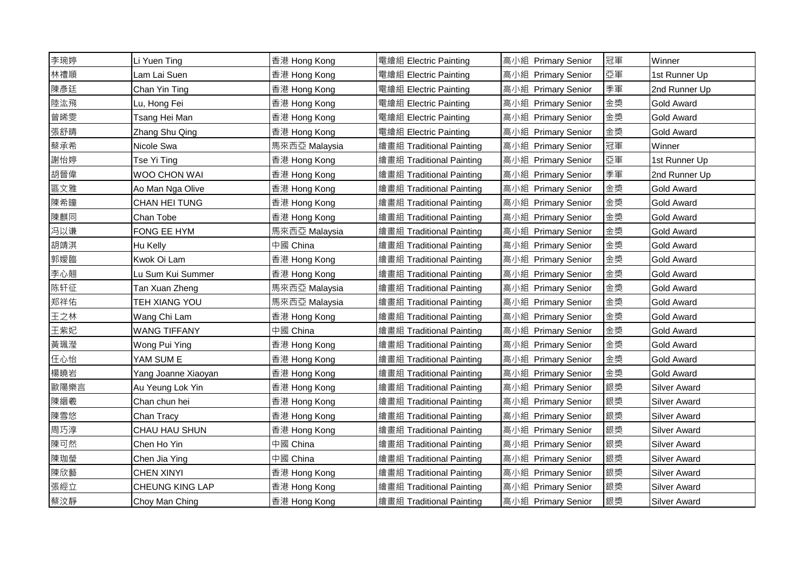| 李琬婷  | Li Yuen Ting           | 香港 Hong Kong  | 電繪組 Electric Painting    | 高小組 Primary Senior | 冠軍 | Winner              |
|------|------------------------|---------------|--------------------------|--------------------|----|---------------------|
| 林禮順  | Lam Lai Suen           | 香港 Hong Kong  | 電繪組 Electric Painting    | 高小組 Primary Senior | 亞軍 | 1st Runner Up       |
| 陳彥廷  | Chan Yin Ting          | 香港 Hong Kong  | 電繪組 Electric Painting    | 高小組 Primary Senior | 季軍 | 2nd Runner Up       |
| 陸汯飛  | Lu, Hong Fei           | 香港 Hong Kong  | 電繪組 Electric Painting    | 高小組 Primary Senior | 金獎 | Gold Award          |
| 曾晞雯  | Tsang Hei Man          | 香港 Hong Kong  | 電繪組 Electric Painting    | 高小組 Primary Senior | 金獎 | <b>Gold Award</b>   |
| 張舒晴  | Zhang Shu Qing         | 香港 Hong Kong  | 電繪組 Electric Painting    | 高小組 Primary Senior | 金獎 | <b>Gold Award</b>   |
| 蔡承希  | Nicole Swa             | 馬來西亞 Malaysia | 繪畫組 Traditional Painting | 高小組 Primary Senior | 冠軍 | Winner              |
| 謝怡婷  | Tse Yi Ting            | 香港 Hong Kong  | 繪畫組 Traditional Painting | 高小組 Primary Senior | 亞軍 | 1st Runner Up       |
| 胡晉偉  | WOO CHON WAI           | 香港 Hong Kong  | 繪畫組 Traditional Painting | 高小組 Primary Senior | 季軍 | 2nd Runner Up       |
| 區文雅  | Ao Man Nga Olive       | 香港 Hong Kong  | 繪畫組 Traditional Painting | 高小組 Primary Senior | 金獎 | <b>Gold Award</b>   |
| 陳希瞳  | CHAN HEI TUNG          | 香港 Hong Kong  | 繪畫組 Traditional Painting | 高小組 Primary Senior | 金獎 | Gold Award          |
| 陳麒同  | Chan Tobe              | 香港 Hong Kong  | 繪畫組 Traditional Painting | 高小組 Primary Senior | 金獎 | <b>Gold Award</b>   |
| 冯以谦  | FONG EE HYM            | 馬來西亞 Malaysia | 繪畫組 Traditional Painting | 高小組 Primary Senior | 金獎 | Gold Award          |
| 胡靖淇  | Hu Kelly               | 中國 China      | 繪畫組 Traditional Painting | 高小組 Primary Senior | 金獎 | Gold Award          |
| 郭嬡臨  | Kwok Oi Lam            | 香港 Hong Kong  | 繪畫組 Traditional Painting | 高小組 Primary Senior | 金獎 | <b>Gold Award</b>   |
| 李心翹  | Lu Sum Kui Summer      | 香港 Hong Kong  | 繪畫組 Traditional Painting | 高小組 Primary Senior | 金獎 | Gold Award          |
| 陈轩征  | Tan Xuan Zheng         | 馬來西亞 Malaysia | 繪畫組 Traditional Painting | 高小組 Primary Senior | 金獎 | <b>Gold Award</b>   |
| 郑祥佑  | TEH XIANG YOU          | 馬來西亞 Malaysia | 繪畫組 Traditional Painting | 高小組 Primary Senior | 金獎 | <b>Gold Award</b>   |
| 王之林  | Wang Chi Lam           | 香港 Hong Kong  | 繪畫組 Traditional Painting | 高小組 Primary Senior | 金獎 | Gold Award          |
| 王紫妃  | <b>WANG TIFFANY</b>    | 中國 China      | 繪畫組 Traditional Painting | 高小組 Primary Senior | 金獎 | Gold Award          |
| 黃珮瀅  | Wong Pui Ying          | 香港 Hong Kong  | 繪畫組 Traditional Painting | 高小組 Primary Senior | 金獎 | <b>Gold Award</b>   |
| 任心怡  | YAM SUM E              | 香港 Hong Kong  | 繪畫組 Traditional Painting | 高小組 Primary Senior | 金獎 | Gold Award          |
| 楊曉岩  | Yang Joanne Xiaoyan    | 香港 Hong Kong  | 繪畫組 Traditional Painting | 高小組 Primary Senior | 金獎 | <b>Gold Award</b>   |
| 歐陽樂言 | Au Yeung Lok Yin       | 香港 Hong Kong  | 繪畫組 Traditional Painting | 高小組 Primary Senior | 銀獎 | <b>Silver Award</b> |
| 陳縉羲  | Chan chun hei          | 香港 Hong Kong  | 繪畫組 Traditional Painting | 高小組 Primary Senior | 銀獎 | Silver Award        |
| 陳雪悠  | Chan Tracy             | 香港 Hong Kong  | 繪畫組 Traditional Painting | 高小組 Primary Senior | 銀獎 | Silver Award        |
| 周巧淳  | CHAU HAU SHUN          | 香港 Hong Kong  | 繪畫組 Traditional Painting | 高小組 Primary Senior | 銀獎 | Silver Award        |
| 陳可然  | Chen Ho Yin            | 中國 China      | 繪畫組 Traditional Painting | 高小組 Primary Senior | 銀獎 | <b>Silver Award</b> |
| 陳珈瑩  | Chen Jia Ying          | 中國 China      | 繪畫組 Traditional Painting | 高小組 Primary Senior | 銀獎 | <b>Silver Award</b> |
| 陳欣藝  | <b>CHEN XINYI</b>      | 香港 Hong Kong  | 繪畫組 Traditional Painting | 高小組 Primary Senior | 銀獎 | <b>Silver Award</b> |
| 張經立  | <b>CHEUNG KING LAP</b> | 香港 Hong Kong  | 繪畫組 Traditional Painting | 高小組 Primary Senior | 銀獎 | Silver Award        |
| 蔡汶靜  | Choy Man Ching         | 香港 Hong Kong  | 繪畫組 Traditional Painting | 高小組 Primary Senior | 銀獎 | <b>Silver Award</b> |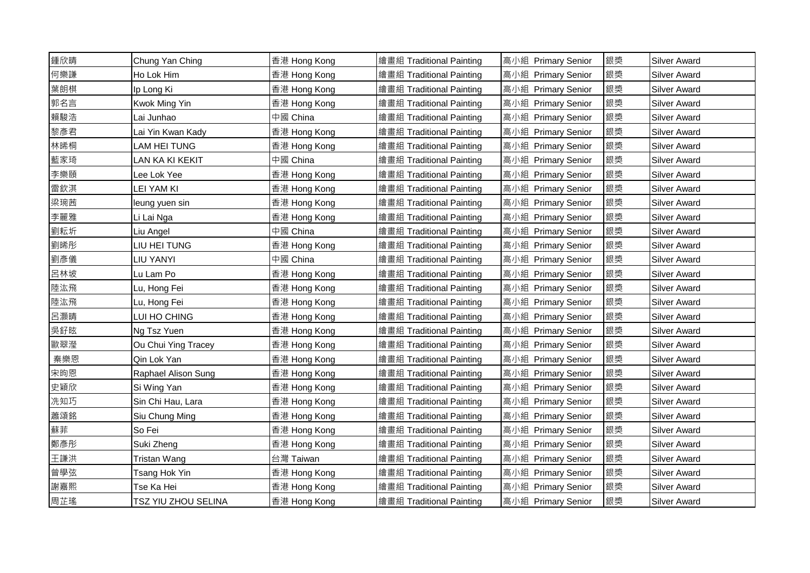| 鍾欣晴 | Chung Yan Ching     | 香港 Hong Kong | 繪畫組 Traditional Painting | 高小組 Primary Senior | 銀獎 | <b>Silver Award</b> |
|-----|---------------------|--------------|--------------------------|--------------------|----|---------------------|
| 何樂謙 | Ho Lok Him          | 香港 Hong Kong | 繪畫組 Traditional Painting | 高小組 Primary Senior | 銀獎 | <b>Silver Award</b> |
| 葉朗棋 | Ip Long Ki          | 香港 Hong Kong | 繪畫組 Traditional Painting | 高小組 Primary Senior | 銀獎 | <b>Silver Award</b> |
| 郭名言 | Kwok Ming Yin       | 香港 Hong Kong | 繪畫組 Traditional Painting | 高小組 Primary Senior | 銀獎 | <b>Silver Award</b> |
| 賴駿浩 | Lai Junhao          | 中國 China     | 繪畫組 Traditional Painting | 高小組 Primary Senior | 銀獎 | <b>Silver Award</b> |
| 黎彥君 | Lai Yin Kwan Kady   | 香港 Hong Kong | 繪畫組 Traditional Painting | 高小組 Primary Senior | 銀獎 | Silver Award        |
| 林晞桐 | <b>LAM HEI TUNG</b> | 香港 Hong Kong | 繪畫組 Traditional Painting | 高小組 Primary Senior | 銀獎 | <b>Silver Award</b> |
| 藍家琦 | LAN KA KI KEKIT     | 中國 China     | 繪畫組 Traditional Painting | 高小組 Primary Senior | 銀獎 | <b>Silver Award</b> |
| 李樂頤 | Lee Lok Yee         | 香港 Hong Kong | 繪畫組 Traditional Painting | 高小組 Primary Senior | 銀獎 | <b>Silver Award</b> |
| 雷欽淇 | <b>LEI YAM KI</b>   | 香港 Hong Kong | 繪畫組 Traditional Painting | 高小組 Primary Senior | 銀獎 | <b>Silver Award</b> |
| 梁琬茜 | leung yuen sin      | 香港 Hong Kong | 繪畫組 Traditional Painting | 高小組 Primary Senior | 銀獎 | <b>Silver Award</b> |
| 李麗雅 | Li Lai Nga          | 香港 Hong Kong | 繪畫組 Traditional Painting | 高小組 Primary Senior | 銀獎 | <b>Silver Award</b> |
| 劉耘圻 | Liu Angel           | 中國 China     | 繪畫組 Traditional Painting | 高小組 Primary Senior | 銀獎 | <b>Silver Award</b> |
| 劉晞彤 | LIU HEI TUNG        | 香港 Hong Kong | 繪畫組 Traditional Painting | 高小組 Primary Senior | 銀獎 | <b>Silver Award</b> |
| 劉彥儀 | LIU YANYI           | 中國 China     | 繪畫組 Traditional Painting | 高小組 Primary Senior | 銀獎 | <b>Silver Award</b> |
| 呂林坡 | Lu Lam Po           | 香港 Hong Kong | 繪畫組 Traditional Painting | 高小組 Primary Senior | 銀獎 | <b>Silver Award</b> |
| 陸汯飛 | Lu, Hong Fei        | 香港 Hong Kong | 繪畫組 Traditional Painting | 高小組 Primary Senior | 銀獎 | <b>Silver Award</b> |
| 陸汯飛 | Lu, Hong Fei        | 香港 Hong Kong | 繪畫組 Traditional Painting | 高小組 Primary Senior | 銀獎 | Silver Award        |
| 呂灝晴 | LUI HO CHING        | 香港 Hong Kong | 繪畫組 Traditional Painting | 高小組 Primary Senior | 銀獎 | <b>Silver Award</b> |
| 吳釨昡 | Ng Tsz Yuen         | 香港 Hong Kong | 繪畫組 Traditional Painting | 高小組 Primary Senior | 銀獎 | <b>Silver Award</b> |
| 歐翠瀅 | Ou Chui Ying Tracey | 香港 Hong Kong | 繪畫組 Traditional Painting | 高小組 Primary Senior | 銀獎 | <b>Silver Award</b> |
| 秦樂恩 | Qin Lok Yan         | 香港 Hong Kong | 繪畫組 Traditional Painting | 高小組 Primary Senior | 銀獎 | <b>Silver Award</b> |
| 宋昫恩 | Raphael Alison Sung | 香港 Hong Kong | 繪畫組 Traditional Painting | 高小組 Primary Senior | 銀獎 | <b>Silver Award</b> |
| 史穎欣 | Si Wing Yan         | 香港 Hong Kong | 繪畫組 Traditional Painting | 高小組 Primary Senior | 銀獎 | <b>Silver Award</b> |
| 冼知巧 | Sin Chi Hau, Lara   | 香港 Hong Kong | 繪畫組 Traditional Painting | 高小組 Primary Senior | 銀獎 | <b>Silver Award</b> |
| 蕭頌銘 | Siu Chung Ming      | 香港 Hong Kong | 繪畫組 Traditional Painting | 高小組 Primary Senior | 銀獎 | <b>Silver Award</b> |
| 蘇菲  | So Fei              | 香港 Hong Kong | 繪畫組 Traditional Painting | 高小組 Primary Senior | 銀獎 | <b>Silver Award</b> |
| 鄭彥彤 | Suki Zheng          | 香港 Hong Kong | 繪畫組 Traditional Painting | 高小組 Primary Senior | 銀獎 | <b>Silver Award</b> |
| 王謙洪 | Tristan Wang        | 台灣 Taiwan    | 繪畫組 Traditional Painting | 高小組 Primary Senior | 銀獎 | <b>Silver Award</b> |
| 曾學弦 | Tsang Hok Yin       | 香港 Hong Kong | 繪畫組 Traditional Painting | 高小組 Primary Senior | 銀獎 | <b>Silver Award</b> |
| 謝嘉熙 | Tse Ka Hei          | 香港 Hong Kong | 繪畫組 Traditional Painting | 高小組 Primary Senior | 銀獎 | <b>Silver Award</b> |
| 周芷瑤 | TSZ YIU ZHOU SELINA | 香港 Hong Kong | 繪畫組 Traditional Painting | 高小組 Primary Senior | 銀獎 | <b>Silver Award</b> |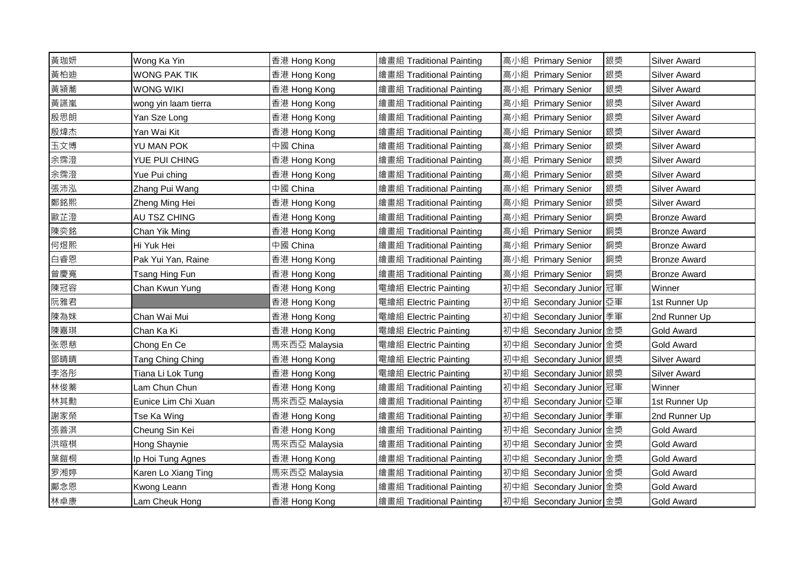| 黃珈妍 | Wong Ka Yin          | 香港 Hong Kong  | 繪畫組 Traditional Painting | 高小組 Primary Senior      | 銀獎 | <b>Silver Award</b> |
|-----|----------------------|---------------|--------------------------|-------------------------|----|---------------------|
| 黃柏迪 | <b>WONG PAK TIK</b>  | 香港 Hong Kong  | 繪畫組 Traditional Painting | 高小組 Primary Senior      | 銀獎 | <b>Silver Award</b> |
| 黃潁蕎 | <b>WONG WIKI</b>     | 香港 Hong Kong  | 繪畫組 Traditional Painting | 高小組 Primary Senior      | 銀獎 | <b>Silver Award</b> |
| 黃讌嵐 | wong yin laam tierra | 香港 Hong Kong  | 繪畫組 Traditional Painting | 高小組 Primary Senior      | 銀獎 | <b>Silver Award</b> |
| 殷思朗 | Yan Sze Long         | 香港 Hong Kong  | 繪畫組 Traditional Painting | 高小組 Primary Senior      | 銀獎 | <b>Silver Award</b> |
| 殷煒杰 | Yan Wai Kit          | 香港 Hong Kong  | 繪畫組 Traditional Painting | 高小組 Primary Senior      | 銀獎 | <b>Silver Award</b> |
| 玉文博 | YU MAN POK           | 中國 China      | 繪畫組 Traditional Painting | 高小組 Primary Senior      | 銀獎 | <b>Silver Award</b> |
| 余霈澄 | YUE PUI CHING        | 香港 Hong Kong  | 繪畫組 Traditional Painting | 高小組 Primary Senior      | 銀獎 | <b>Silver Award</b> |
| 余霈澄 | Yue Pui ching        | 香港 Hong Kong  | 繪畫組 Traditional Painting | 高小組 Primary Senior      | 銀獎 | <b>Silver Award</b> |
| 張沛泓 | Zhang Pui Wang       | 中國 China      | 繪畫組 Traditional Painting | 高小組 Primary Senior      | 銀獎 | <b>Silver Award</b> |
| 鄭銘熙 | Zheng Ming Hei       | 香港 Hong Kong  | 繪畫組 Traditional Painting | 高小組 Primary Senior      | 銀獎 | <b>Silver Award</b> |
| 歐芷澄 | AU TSZ CHING         | 香港 Hong Kong  | 繪畫組 Traditional Painting | 高小組 Primary Senior      | 銅獎 | <b>Bronze Award</b> |
| 陳奕銘 | Chan Yik Ming        | 香港 Hong Kong  | 繪畫組 Traditional Painting | 高小組 Primary Senior      | 銅獎 | <b>Bronze Award</b> |
| 何煜熙 | Hi Yuk Hei           | 中國 China      | 繪畫組 Traditional Painting | 高小組 Primary Senior      | 銅獎 | <b>Bronze Award</b> |
| 白睿恩 | Pak Yui Yan, Raine   | 香港 Hong Kong  | 繪畫組 Traditional Painting | 高小組 Primary Senior      | 銅獎 | <b>Bronze Award</b> |
| 曾慶寬 | Tsang Hing Fun       | 香港 Hong Kong  | 繪畫組 Traditional Painting | 高小組 Primary Senior      | 銅獎 | <b>Bronze Award</b> |
| 陳冠容 | Chan Kwun Yung       | 香港 Hong Kong  | 電繪組 Electric Painting    | 初中組 Secondary Junior 冠軍 |    | Winner              |
| 阮雅君 |                      | 香港 Hong Kong  | 電繪組 Electric Painting    | 初中組 Secondary Junior 亞軍 |    | 1st Runner Up       |
| 陳為妹 | Chan Wai Mui         | 香港 Hong Kong  | 電繪組 Electric Painting    | 初中組 Secondary Junior 季軍 |    | 2nd Runner Up       |
| 陳嘉琪 | Chan Ka Ki           | 香港 Hong Kong  | 電繪組 Electric Painting    | 初中組 Secondary Junior 金獎 |    | <b>Gold Award</b>   |
| 张恩慈 | Chong En Ce          | 馬來西亞 Malaysia | 電繪組 Electric Painting    | 初中組 Secondary Junior 金獎 |    | <b>Gold Award</b>   |
| 鄧晴晴 | Tang Ching Ching     | 香港 Hong Kong  | 電繪組 Electric Painting    | 初中組 Secondary Junior 銀獎 |    | <b>Silver Award</b> |
| 李洛彤 | Tiana Li Lok Tung    | 香港 Hong Kong  | 電繪組 Electric Painting    | 初中組 Secondary Junior 銀獎 |    | <b>Silver Award</b> |
| 林俊蓁 | Lam Chun Chun        | 香港 Hong Kong  | 繪畫組 Traditional Painting | 初中組 Secondary Junior 冠軍 |    | Winner              |
| 林其勳 | Eunice Lim Chi Xuan  | 馬來西亞 Malaysia | 繪畫組 Traditional Painting | 初中組 Secondary Junior 亞軍 |    | 1st Runner Up       |
| 謝家榮 | Tse Ka Wing          | 香港 Hong Kong  | 繪畫組 Traditional Painting | 初中組 Secondary Junior 季軍 |    | 2nd Runner Up       |
| 張善淇 | Cheung Sin Kei       | 香港 Hong Kong  | 繪畫組 Traditional Painting | 初中組 Secondary Junior 金獎 |    | <b>Gold Award</b>   |
| 洪暄棋 | Hong Shaynie         | 馬來西亞 Malaysia | 繪畫組 Traditional Painting | 初中組 Secondary Junior 金獎 |    | <b>Gold Award</b>   |
| 葉鎧桐 | Ip Hoi Tung Agnes    | 香港 Hong Kong  | 繪畫組 Traditional Painting | 初中組 Secondary Junior 金獎 |    | <b>Gold Award</b>   |
| 罗湘婷 | Karen Lo Xiang Ting  | 馬來西亞 Malaysia | 繪畫組 Traditional Painting | 初中組 Secondary Junior 金獎 |    | <b>Gold Award</b>   |
| 鄺念恩 | Kwong Leann          | 香港 Hong Kong  | 繪畫組 Traditional Painting | 初中組 Secondary Junior 金獎 |    | <b>Gold Award</b>   |
| 林卓康 | Lam Cheuk Hong       | 香港 Hong Kong  | 繪畫組 Traditional Painting | 初中組 Secondary Junior 金獎 |    | <b>Gold Award</b>   |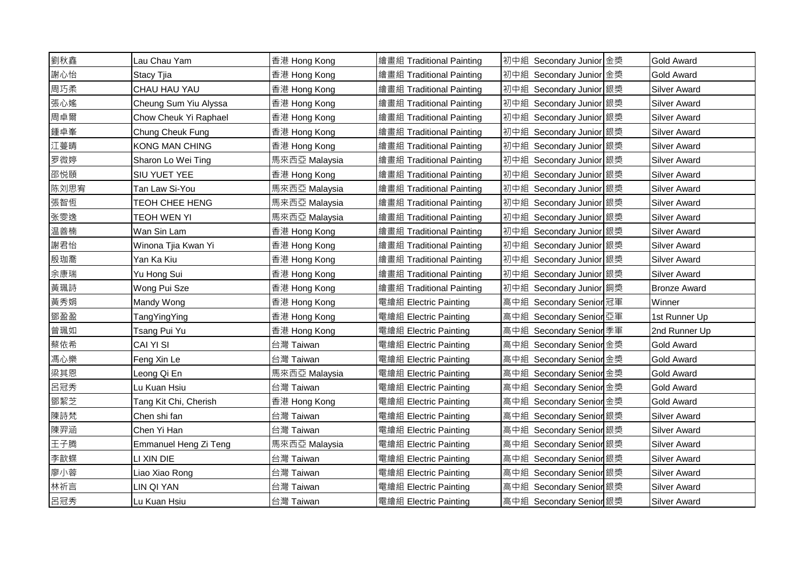| 劉秋鑫  | Lau Chau Yam          | 香港 Hong Kong  | 繪畫組 Traditional Painting | 初中組 Secondary Junior 金獎 | <b>Gold Award</b>   |
|------|-----------------------|---------------|--------------------------|-------------------------|---------------------|
| 謝心怡  | Stacy Tjia            | 香港 Hong Kong  | 繪畫組 Traditional Painting | 初中組 Secondary Junior 金獎 | <b>Gold Award</b>   |
| 周巧柔  | CHAU HAU YAU          | 香港 Hong Kong  | 繪畫組 Traditional Painting | 初中組 Secondary Junior 銀獎 | <b>Silver Award</b> |
| 張心媱  | Cheung Sum Yiu Alyssa | 香港 Hong Kong  | 繪畫組 Traditional Painting | 初中組 Secondary Junior 銀獎 | <b>Silver Award</b> |
| 周卓爾  | Chow Cheuk Yi Raphael | 香港 Hong Kong  | 繪畫組 Traditional Painting | 初中組 Secondary Junior 銀獎 | <b>Silver Award</b> |
| 鍾卓峯  | Chung Cheuk Fung      | 香港 Hong Kong  | 繪畫組 Traditional Painting | 初中組 Secondary Junior 銀獎 | <b>Silver Award</b> |
| 江蔓晴  | <b>KONG MAN CHING</b> | 香港 Hong Kong  | 繪畫組 Traditional Painting | 初中組 Secondary Junior 銀獎 | <b>Silver Award</b> |
| 罗微婷  | Sharon Lo Wei Ting    | 馬來西亞 Malaysia | 繪畫組 Traditional Painting | 初中組 Secondary Junior 銀獎 | <b>Silver Award</b> |
| 邵悦頤  | SIU YUET YEE          | 香港 Hong Kong  | 繪畫組 Traditional Painting | 初中組 Secondary Junior 銀獎 | Silver Award        |
| 陈刘思宥 | Tan Law Si-You        | 馬來西亞 Malaysia | 繪畫組 Traditional Painting | 初中組 Secondary Junior 銀獎 | <b>Silver Award</b> |
| 張智恆  | TEOH CHEE HENG        | 馬来西亞 Malaysia | 繪畫組 Traditional Painting | 初中組 Secondary Junior 銀獎 | <b>Silver Award</b> |
| 张雯逸  | <b>TEOH WEN YI</b>    | 馬來西亞 Malaysia | 繪畫組 Traditional Painting | 初中組 Secondary Junior 銀獎 | <b>Silver Award</b> |
| 温善楠  | Wan Sin Lam           | 香港 Hong Kong  | 繪畫組 Traditional Painting | 初中組 Secondary Junior 銀獎 | <b>Silver Award</b> |
| 謝君怡  | Winona Tjia Kwan Yi   | 香港 Hong Kong  | 繪畫組 Traditional Painting | 初中組 Secondary Junior 銀獎 | <b>Silver Award</b> |
| 殷珈喬  | Yan Ka Kiu            | 香港 Hong Kong  | 繪畫組 Traditional Painting | 初中組 Secondary Junior 銀獎 | <b>Silver Award</b> |
| 余康瑞  | Yu Hong Sui           | 香港 Hong Kong  | 繪畫組 Traditional Painting | 初中組 Secondary Junior 銀獎 | <b>Silver Award</b> |
| 黃珮詩  | Wong Pui Sze          | 香港 Hong Kong  | 繪畫組 Traditional Painting | 初中組 Secondary Junior 銅獎 | <b>Bronze Award</b> |
| 黃秀娟  | Mandy Wong            | 香港 Hong Kong  | 電繪組 Electric Painting    | 高中組 Secondary Senior 冠軍 | Winner              |
| 鄧盈盈  | TangYingYing          | 香港 Hong Kong  | 電繪組 Electric Painting    | 高中組 Secondary Senior 亞軍 | 1st Runner Up       |
| 曾珮如  | Tsang Pui Yu          | 香港 Hong Kong  | 電繪組 Electric Painting    | 高中組 Secondary Senior 季軍 | 2nd Runner Up       |
| 蔡依希  | CAI YI SI             | 台灣 Taiwan     | 電繪組 Electric Painting    | 高中組 Secondary Senior 金獎 | Gold Award          |
| 馮心樂  | Feng Xin Le           | 台灣 Taiwan     | 電繪組 Electric Painting    | 高中組 Secondary Senior 金獎 | <b>Gold Award</b>   |
| 梁其恩  | Leong Qi En           | 馬來西亞 Malaysia | 電繪組 Electric Painting    | 高中組 Secondary Senior 金獎 | <b>Gold Award</b>   |
| 呂冠秀  | Lu Kuan Hsiu          | 台灣 Taiwan     | 電繪組 Electric Painting    | 高中組 Secondary Senior 金獎 | <b>Gold Award</b>   |
| 鄧絜芝  | Tang Kit Chi, Cherish | 香港 Hong Kong  | 電繪組 Electric Painting    | 高中組 Secondary Senior 金獎 | <b>Gold Award</b>   |
| 陳詩梵  | Chen shi fan          | 台灣 Taiwan     | 電繪組 Electric Painting    | 高中組 Secondary Senior 銀獎 | <b>Silver Award</b> |
| 陳羿涵  | Chen Yi Han           | 台灣 Taiwan     | 電繪組 Electric Painting    | 高中組 Secondary Senior 銀獎 | <b>Silver Award</b> |
| 王子腾  | Emmanuel Heng Zi Teng | 馬來西亞 Malaysia | 電繪組 Electric Painting    | 高中組 Secondary Senior 銀獎 | <b>Silver Award</b> |
| 李歆蝶  | LI XIN DIE            | 台灣 Taiwan     | 電繪組 Electric Painting    | 高中組 Secondary Senior 銀獎 | <b>Silver Award</b> |
| 廖小蓉  | Liao Xiao Rong        | 台灣 Taiwan     | 電繪組 Electric Painting    | 高中組 Secondary Senior 銀獎 | <b>Silver Award</b> |
| 林祈言  | LIN QI YAN            | 台灣 Taiwan     | 電繪組 Electric Painting    | 高中組 Secondary Senior 銀獎 | <b>Silver Award</b> |
| 呂冠秀  | Lu Kuan Hsiu          | 台灣 Taiwan     | 電繪組 Electric Painting    | 高中組 Secondary Senior 銀獎 | <b>Silver Award</b> |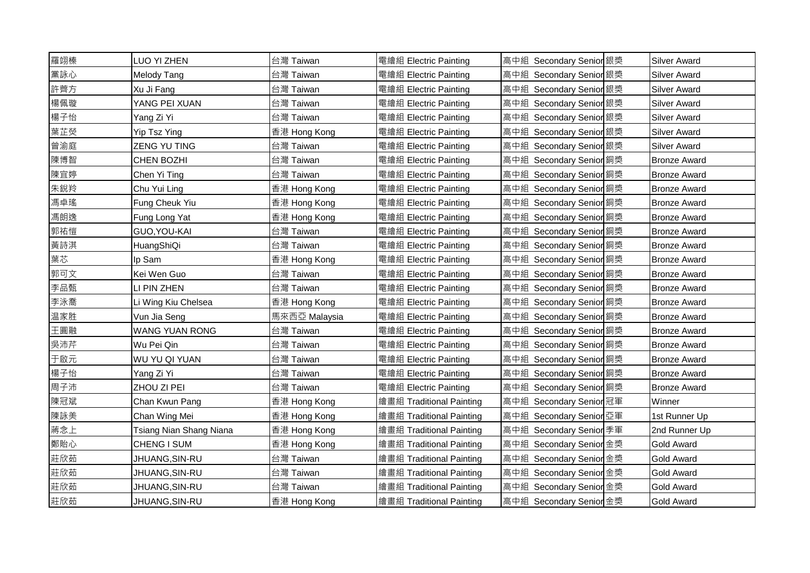| 羅翊榛 | LUO YI ZHEN             | 台灣 Taiwan     | 電繪組 Electric Painting    | 高中組 Secondary Senior 銀獎 | <b>Silver Award</b> |
|-----|-------------------------|---------------|--------------------------|-------------------------|---------------------|
| 黨詠心 | Melody Tang             | 台灣 Taiwan     | 電繪組 Electric Painting    | 高中組 Secondary Senior 銀獎 | <b>Silver Award</b> |
| 許薺方 | Xu Ji Fang              | 台灣 Taiwan     | 電繪組 Electric Painting    | 高中組 Secondary Senior 銀獎 | <b>Silver Award</b> |
| 楊佩璇 | YANG PEI XUAN           | 台灣 Taiwan     | 電繪組 Electric Painting    | 高中組 Secondary Senior 銀獎 | <b>Silver Award</b> |
| 楊子怡 | Yang Zi Yi              | 台灣 Taiwan     | 電繪組 Electric Painting    | 高中組 Secondary Senior 銀獎 | <b>Silver Award</b> |
| 葉芷熒 | Yip Tsz Ying            | 香港 Hong Kong  | 電繪組 Electric Painting    | 高中組 Secondary Senior 銀獎 | <b>Silver Award</b> |
| 曾渝庭 | ZENG YU TING            | 台灣 Taiwan     | 電繪組 Electric Painting    | 高中組 Secondary Senior 銀獎 | <b>Silver Award</b> |
| 陳博智 | CHEN BOZHI              | 台灣 Taiwan     | 電繪組 Electric Painting    | 高中組 Secondary Senior 銅獎 | <b>Bronze Award</b> |
| 陳宜婷 | Chen Yi Ting            | 台灣 Taiwan     | 電繪組 Electric Painting    | 高中組 Secondary Senior 銅獎 | <b>Bronze Award</b> |
| 朱銳羚 | Chu Yui Ling            | 香港 Hong Kong  | 電繪組 Electric Painting    | 高中組 Secondary Senior 銅獎 | <b>Bronze Award</b> |
| 馮卓瑤 | Fung Cheuk Yiu          | 香港 Hong Kong  | 電繪組 Electric Painting    | 高中組 Secondary Senior 銅獎 | <b>Bronze Award</b> |
| 馮朗逸 | Fung Long Yat           | 香港 Hong Kong  | 電繪組 Electric Painting    | 高中組 Secondary Senior 銅獎 | <b>Bronze Award</b> |
| 郭祐愷 | GUO, YOU-KAI            | 台灣 Taiwan     | 電繪組 Electric Painting    | 高中組 Secondary Senior 銅獎 | <b>Bronze Award</b> |
| 黃詩淇 | HuangShiQi              | 台灣 Taiwan     | 電繪組 Electric Painting    | 高中組 Secondary Senior 銅獎 | <b>Bronze Award</b> |
| 葉芯  | Ip Sam                  | 香港 Hong Kong  | 電繪組 Electric Painting    | 高中組 Secondary Senior 銅獎 | <b>Bronze Award</b> |
| 郭可文 | Kei Wen Guo             | 台灣 Taiwan     | 電繪組 Electric Painting    | 高中組 Secondary Senior 銅獎 | <b>Bronze Award</b> |
| 李品甄 | LI PIN ZHEN             | 台灣 Taiwan     | 電繪組 Electric Painting    | 高中組 Secondary Senior 銅獎 | <b>Bronze Award</b> |
| 李泳喬 | Li Wing Kiu Chelsea     | 香港 Hong Kong  | 電繪組 Electric Painting    | 高中組 Secondary Senior 銅獎 | <b>Bronze Award</b> |
| 温家胜 | Vun Jia Seng            | 馬來西亞 Malaysia | 電繪組 Electric Painting    | 高中組 Secondary Senior 銅獎 | <b>Bronze Award</b> |
| 王圓融 | <b>WANG YUAN RONG</b>   | 台灣 Taiwan     | 電繪組 Electric Painting    | 高中組 Secondary Senior 銅獎 | <b>Bronze Award</b> |
| 吳沛芹 | Wu Pei Qin              | 台灣 Taiwan     | 電繪組 Electric Painting    | 高中組 Secondary Senior 銅獎 | <b>Bronze Award</b> |
| 于啟元 | WU YU QI YUAN           | 台灣 Taiwan     | 電繪組 Electric Painting    | 高中組 Secondary Senior 銅獎 | <b>Bronze Award</b> |
| 楊子怡 | Yang Zi Yi              | 台灣 Taiwan     | 電繪組 Electric Painting    | 高中組 Secondary Senior 銅獎 | <b>Bronze Award</b> |
| 周子沛 | ZHOU ZI PEI             | 台灣 Taiwan     | 電繪組 Electric Painting    | 高中組 Secondary Senior 銅獎 | <b>Bronze Award</b> |
| 陳冠斌 | Chan Kwun Pang          | 香港 Hong Kong  | 繪畫組 Traditional Painting | 高中組 Secondary Senior 冠軍 | Winner              |
| 陳詠美 | Chan Wing Mei           | 香港 Hong Kong  | 繪畫組 Traditional Painting | 高中組 Secondary Senior 亞軍 | 1st Runner Up       |
| 蔣念上 | Tsiang Nian Shang Niana | 香港 Hong Kong  | 繪畫組 Traditional Painting | 高中組 Secondary Senior 季軍 | 2nd Runner Up       |
| 鄭貽心 | CHENG I SUM             | 香港 Hong Kong  | 繪畫組 Traditional Painting | 高中組 Secondary Senior 金獎 | <b>Gold Award</b>   |
| 莊欣茹 | JHUANG, SIN-RU          | 台灣 Taiwan     | 繪畫組 Traditional Painting | 高中組 Secondary Senior 金獎 | <b>Gold Award</b>   |
| 莊欣茹 | JHUANG, SIN-RU          | 台灣 Taiwan     | 繪畫組 Traditional Painting | 高中組 Secondary Senior 金獎 | Gold Award          |
| 莊欣茹 | JHUANG, SIN-RU          | 台灣 Taiwan     | 繪畫組 Traditional Painting | 高中組 Secondary Senior 金獎 | <b>Gold Award</b>   |
| 莊欣茹 | JHUANG, SIN-RU          | 香港 Hong Kong  | 繪畫組 Traditional Painting | 高中組 Secondary Senior 金獎 | <b>Gold Award</b>   |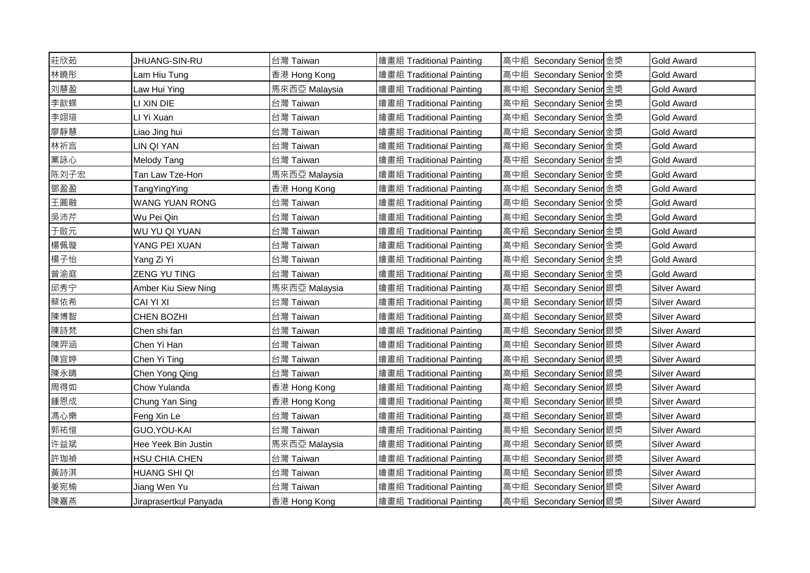| 莊欣茹  | JHUANG-SIN-RU          | 台灣 Taiwan     | 繪畫組 Traditional Painting | 高中組 Secondary Senior 金獎 | <b>Gold Award</b>   |
|------|------------------------|---------------|--------------------------|-------------------------|---------------------|
| 林曉彤  | Lam Hiu Tung           | 香港 Hong Kong  | 繪畫組 Traditional Painting | 高中組 Secondary Senior 金獎 | <b>Gold Award</b>   |
| 刘慧盈  | Law Hui Ying           | 馬來西亞 Malaysia | 繪畫組 Traditional Painting | 高中組 Secondary Senior 金獎 | <b>Gold Award</b>   |
| 李歆蝶  | LI XIN DIE             | 台灣 Taiwan     | 繪畫組 Traditional Painting | 高中組 Secondary Senior 金獎 | <b>Gold Award</b>   |
| 李翊瑄  | LI Yi Xuan             | 台灣 Taiwan     | 繪畫組 Traditional Painting | 高中組 Secondary Senior 金獎 | <b>Gold Award</b>   |
| 廖靜慧  | Liao Jing hui          | 台灣 Taiwan     | 繪畫組 Traditional Painting | 高中組 Secondary Senior 金獎 | <b>Gold Award</b>   |
| 林祈言  | LIN QI YAN             | 台灣 Taiwan     | 繪畫組 Traditional Painting | 高中組 Secondary Senior 金獎 | <b>Gold Award</b>   |
| 黨詠心  | <b>Melody Tang</b>     | 台灣 Taiwan     | 繪畫組 Traditional Painting | 高中組 Secondary Senior 金獎 | <b>Gold Award</b>   |
| 陈刘子宏 | Tan Law Tze-Hon        | 馬來西亞 Malaysia | 繪畫組 Traditional Painting | 高中組 Secondary Senior 金獎 | Gold Award          |
| 鄧盈盈  | TangYingYing           | 香港 Hong Kong  | 繪畫組 Traditional Painting | 高中組 Secondary Senior 金獎 | <b>Gold Award</b>   |
| 王圓融  | WANG YUAN RONG         | 台灣 Taiwan     | 繪畫組 Traditional Painting | 高中組 Secondary Senior 金獎 | <b>Gold Award</b>   |
| 吳沛芹  | Wu Pei Qin             | 台灣 Taiwan     | 繪畫組 Traditional Painting | 高中組 Secondary Senior 金獎 | <b>Gold Award</b>   |
| 于啟元  | WU YU QI YUAN          | 台灣 Taiwan     | 繪畫組 Traditional Painting | 高中組 Secondary Senior 金獎 | <b>Gold Award</b>   |
| 楊佩璇  | YANG PEI XUAN          | 台灣 Taiwan     | 繪畫組 Traditional Painting | 高中組 Secondary Senior 金獎 | Gold Award          |
| 楊子怡  | Yang Zi Yi             | 台灣 Taiwan     | 繪畫組 Traditional Painting | 高中組 Secondary Senior 金獎 | Gold Award          |
| 曾渝庭  | <b>ZENG YU TING</b>    | 台灣 Taiwan     | 繪畫組 Traditional Painting | 高中組 Secondary Senior 金獎 | <b>Gold Award</b>   |
| 邱秀宁  | Amber Kiu Siew Ning    | 馬來西亞 Malaysia | 繪畫組 Traditional Painting | 高中組 Secondary Senior 銀獎 | <b>Silver Award</b> |
| 蔡依希  | CAI YI XI              | 台灣 Taiwan     | 繪畫組 Traditional Painting | 高中組 Secondary Senior 銀獎 | Silver Award        |
| 陳博智  | <b>CHEN BOZHI</b>      | 台灣 Taiwan     | 繪畫組 Traditional Painting | 高中組 Secondary Senior 銀獎 | <b>Silver Award</b> |
| 陳詩梵  | Chen shi fan           | 台灣 Taiwan     | 繪畫組 Traditional Painting | 高中組 Secondary Senior 銀獎 | <b>Silver Award</b> |
| 陳羿涵  | Chen Yi Han            | 台灣 Taiwan     | 繪畫組 Traditional Painting | 高中組 Secondary Senior 銀獎 | Silver Award        |
| 陳宜婷  | Chen Yi Ting           | 台灣 Taiwan     | 繪畫組 Traditional Painting | 高中組 Secondary Senior 銀獎 | Silver Award        |
| 陳永晴  | Chen Yong Qing         | 台灣 Taiwan     | 繪畫組 Traditional Painting | 高中組 Secondary Senior 銀獎 | <b>Silver Award</b> |
| 周得如  | Chow Yulanda           | 香港 Hong Kong  | 繪畫組 Traditional Painting | 高中組 Secondary Senior 銀獎 | <b>Silver Award</b> |
| 鍾恩成  | Chung Yan Sing         | 香港 Hong Kong  | 繪畫組 Traditional Painting | 高中組 Secondary Senior 銀獎 | Silver Award        |
| 馮心樂  | Feng Xin Le            | 台灣 Taiwan     | 繪畫組 Traditional Painting | 高中組 Secondary Senior 銀獎 | <b>Silver Award</b> |
| 郭祐愷  | GUO, YOU-KAI           | 台灣 Taiwan     | 繪畫組 Traditional Painting | 高中組 Secondary Senior 銀獎 | <b>Silver Award</b> |
| 许益斌  | Hee Yeek Bin Justin    | 馬來西亞 Malaysia | 繪畫組 Traditional Painting | 高中組 Secondary Senior 銀獎 | <b>Silver Award</b> |
| 許珈禎  | HSU CHIA CHEN          | 台灣 Taiwan     | 繪畫組 Traditional Painting | 高中組 Secondary Senior 銀獎 | <b>Silver Award</b> |
| 黃詩淇  | HUANG SHI QI           | 台灣 Taiwan     | 繪畫組 Traditional Painting | 高中組 Secondary Senior 銀獎 | Silver Award        |
| 姜宛榆  | Jiang Wen Yu           | 台灣 Taiwan     | 繪畫組 Traditional Painting | 高中組 Secondary Senior 銀獎 | Silver Award        |
| 陳嘉燕  | Jiraprasertkul Panyada | 香港 Hong Kong  | 繪畫組 Traditional Painting | 高中組 Secondary Senior 銀獎 | <b>Silver Award</b> |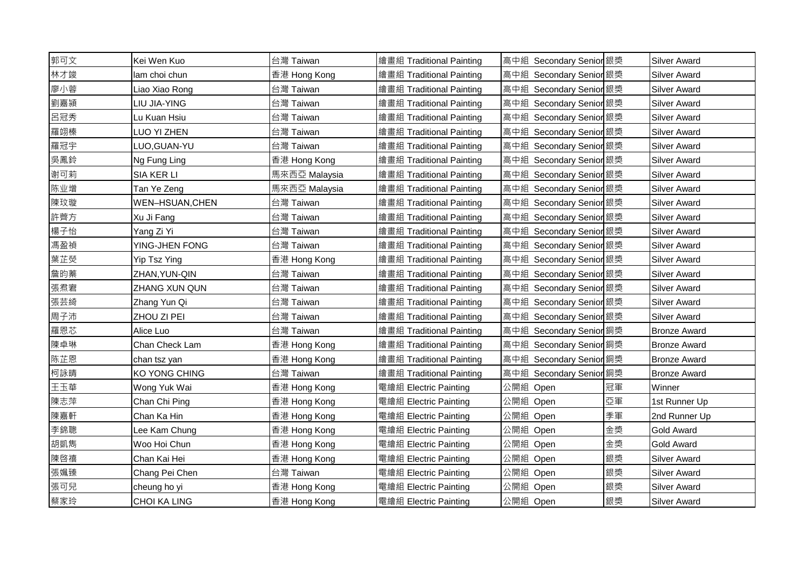| 郭可文 | Kei Wen Kuo         | 台灣 Taiwan     | 繪畫組 Traditional Painting | 高中組 Secondary Senior 銀獎 |    | <b>Silver Award</b> |
|-----|---------------------|---------------|--------------------------|-------------------------|----|---------------------|
| 林才竣 | lam choi chun       | 香港 Hong Kong  | 繪畫組 Traditional Painting | 高中組 Secondary Senior 銀獎 |    | <b>Silver Award</b> |
| 廖小蓉 | Liao Xiao Rong      | 台灣 Taiwan     | 繪畫組 Traditional Painting | 高中組 Secondary Senior 銀獎 |    | <b>Silver Award</b> |
| 劉嘉潁 | LIU JIA-YING        | 台灣 Taiwan     | 繪畫組 Traditional Painting | 高中組 Secondary Senior 銀獎 |    | <b>Silver Award</b> |
| 呂冠秀 | Lu Kuan Hsiu        | 台灣 Taiwan     | 繪畫組 Traditional Painting | 高中組 Secondary Senior 銀獎 |    | <b>Silver Award</b> |
| 羅翊榛 | LUO YI ZHEN         | 台灣 Taiwan     | 繪畫組 Traditional Painting | 高中組 Secondary Senior 銀獎 |    | <b>Silver Award</b> |
| 羅冠宇 | LUO, GUAN-YU        | 台灣 Taiwan     | 繪畫組 Traditional Painting | 高中組 Secondary Senior 銀獎 |    | <b>Silver Award</b> |
| 吳鳳鈴 | Ng Fung Ling        | 香港 Hong Kong  | 繪畫組 Traditional Painting | 高中組 Secondary Senior 銀獎 |    | <b>Silver Award</b> |
| 谢可莉 | SIA KER LI          | 馬來西亞 Malaysia | 繪畫組 Traditional Painting | 高中組 Secondary Senior 銀獎 |    | <b>Silver Award</b> |
| 陈业增 | Tan Ye Zeng         | 馬來西亞 Malaysia | 繪畫組 Traditional Painting | 高中組 Secondary Senior 銀獎 |    | <b>Silver Award</b> |
| 陳玟璇 | WEN-HSUAN, CHEN     | 台灣 Taiwan     | 繪畫組 Traditional Painting | 高中組 Secondary Senior 銀獎 |    | <b>Silver Award</b> |
| 許薺方 | Xu Ji Fang          | 台灣 Taiwan     | 繪畫組 Traditional Painting | 高中組 Secondary Senior 銀獎 |    | <b>Silver Award</b> |
| 楊子怡 | Yang Zi Yi          | 台灣 Taiwan     | 繪畫組 Traditional Painting | 高中組 Secondary Senior 銀獎 |    | <b>Silver Award</b> |
| 馮盈禎 | YING-JHEN FONG      | 台灣 Taiwan     | 繪畫組 Traditional Painting | 高中組 Secondary Senior 銀獎 |    | <b>Silver Award</b> |
| 葉芷熒 | Yip Tsz Ying        | 香港 Hong Kong  | 繪畫組 Traditional Painting | 高中組 Secondary Senior 銀獎 |    | <b>Silver Award</b> |
| 詹昀蓁 | ZHAN, YUN-QIN       | 台灣 Taiwan     | 繪畫組 Traditional Painting | 高中組 Secondary Senior 銀獎 |    | <b>Silver Award</b> |
| 張焄宭 | ZHANG XUN QUN       | 台灣 Taiwan     | 繪畫組 Traditional Painting | 高中組 Secondary Senior 銀獎 |    | <b>Silver Award</b> |
| 張芸綺 | Zhang Yun Qi        | 台灣 Taiwan     | 繪畫組 Traditional Painting | 高中組 Secondary Senior 銀獎 |    | <b>Silver Award</b> |
| 周子沛 | ZHOU ZI PEI         | 台灣 Taiwan     | 繪畫組 Traditional Painting | 高中組 Secondary Senior 銀獎 |    | <b>Silver Award</b> |
| 羅恩芯 | Alice Luo           | 台灣 Taiwan     | 繪畫組 Traditional Painting | 高中組 Secondary Senior 銅獎 |    | <b>Bronze Award</b> |
| 陳卓琳 | Chan Check Lam      | 香港 Hong Kong  | 繪畫組 Traditional Painting | 高中組 Secondary Senior 銅獎 |    | <b>Bronze Award</b> |
| 陈芷恩 | chan tsz yan        | 香港 Hong Kong  | 繪畫組 Traditional Painting | 高中組 Secondary Senior 銅獎 |    | <b>Bronze Award</b> |
| 柯詠晴 | KO YONG CHING       | 台灣 Taiwan     | 繪畫組 Traditional Painting | 高中組 Secondary Senior 銅獎 |    | <b>Bronze Award</b> |
| 王玉華 | Wong Yuk Wai        | 香港 Hong Kong  | 電繪組 Electric Painting    | 公開組 Open                | 冠軍 | Winner              |
| 陳志萍 | Chan Chi Ping       | 香港 Hong Kong  | 電繪組 Electric Painting    | 公開組 Open                | 亞軍 | 1st Runner Up       |
| 陳嘉軒 | Chan Ka Hin         | 香港 Hong Kong  | 電繪組 Electric Painting    | 公開組 Open                | 季軍 | 2nd Runner Up       |
| 李錦聰 | Lee Kam Chung       | 香港 Hong Kong  | 電繪組 Electric Painting    | 公開組 Open                | 金獎 | <b>Gold Award</b>   |
| 胡凱雋 | Woo Hoi Chun        | 香港 Hong Kong  | 電繪組 Electric Painting    | 公開組 Open                | 金獎 | <b>Gold Award</b>   |
| 陳啓禧 | Chan Kai Hei        | 香港 Hong Kong  | 電繪組 Electric Painting    | 公開組 Open                | 銀獎 | <b>Silver Award</b> |
| 張姵臻 | Chang Pei Chen      | 台灣 Taiwan     | 電繪組 Electric Painting    | 公開組 Open                | 銀獎 | <b>Silver Award</b> |
| 張可兒 | cheung ho yi        | 香港 Hong Kong  | 電繪組 Electric Painting    | 公開組 Open                | 銀獎 | <b>Silver Award</b> |
| 蔡家玲 | <b>CHOI KA LING</b> | 香港 Hong Kong  | 電繪組 Electric Painting    | 公開組 Open                | 銀獎 | <b>Silver Award</b> |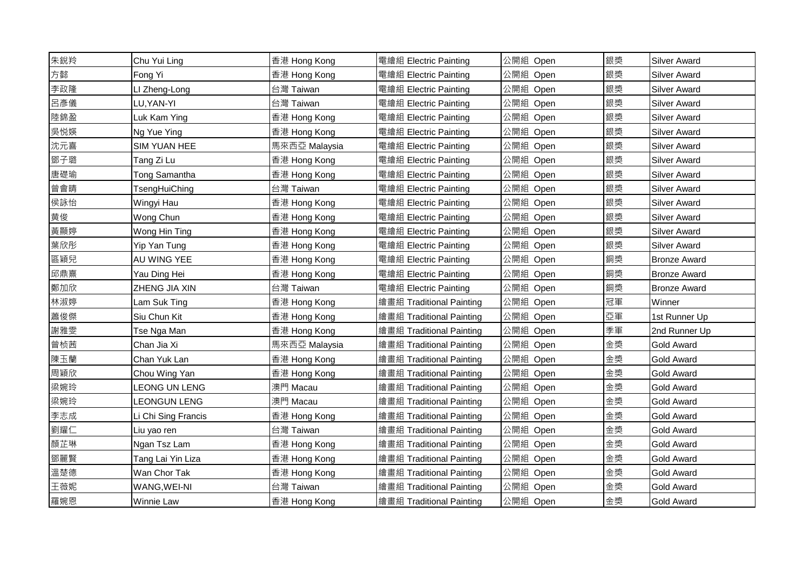| 朱銳羚 | Chu Yui Ling         | 香港 Hong Kong  | 電繪組 Electric Painting    | 公開組 Open | 銀獎 | <b>Silver Award</b> |
|-----|----------------------|---------------|--------------------------|----------|----|---------------------|
| 方懿  | Fong Yi              | 香港 Hong Kong  | 電繪組 Electric Painting    | 公開組 Open | 銀獎 | <b>Silver Award</b> |
| 李政隆 | LI Zheng-Long        | 台灣 Taiwan     | 電繪組 Electric Painting    | 公開組 Open | 銀獎 | <b>Silver Award</b> |
| 呂彥儀 | LU, YAN-YI           | 台灣 Taiwan     | 電繪組 Electric Painting    | 公開組 Open | 銀獎 | <b>Silver Award</b> |
| 陸錦盈 | Luk Kam Ying         | 香港 Hong Kong  | 電繪組 Electric Painting    | 公開組 Open | 銀獎 | <b>Silver Award</b> |
| 吳悦媖 | Ng Yue Ying          | 香港 Hong Kong  | 電繪組 Electric Painting    | 公開組 Open | 銀獎 | <b>Silver Award</b> |
| 沈元喜 | <b>SIM YUAN HEE</b>  | 馬來西亞 Malaysia | 電繪組 Electric Painting    | 公開組 Open | 銀獎 | <b>Silver Award</b> |
| 鄧子璐 | Tang Zi Lu           | 香港 Hong Kong  | 電繪組 Electric Painting    | 公開組 Open | 銀獎 | <b>Silver Award</b> |
| 唐礎瑜 | Tong Samantha        | 香港 Hong Kong  | 電繪組 Electric Painting    | 公開組 Open | 銀獎 | <b>Silver Award</b> |
| 曾會晴 | TsengHuiChing        | 台灣 Taiwan     | 電繪組 Electric Painting    | 公開組 Open | 銀獎 | <b>Silver Award</b> |
| 侯詠怡 | Wingyi Hau           | 香港 Hong Kong  | 電繪組 Electric Painting    | 公開組 Open | 銀獎 | <b>Silver Award</b> |
| 黄俊  | Wong Chun            | 香港 Hong Kong  | 電繪組 Electric Painting    | 公開組 Open | 銀獎 | <b>Silver Award</b> |
| 黃顯婷 | Wong Hin Ting        | 香港 Hong Kong  | 電繪組 Electric Painting    | 公開組 Open | 銀獎 | <b>Silver Award</b> |
| 葉欣彤 | Yip Yan Tung         | 香港 Hong Kong  | 電繪組 Electric Painting    | 公開組 Open | 銀獎 | <b>Silver Award</b> |
| 區穎兒 | AU WING YEE          | 香港 Hong Kong  | 電繪組 Electric Painting    | 公開組 Open | 銅獎 | <b>Bronze Award</b> |
| 邱鼎熹 | Yau Ding Hei         | 香港 Hong Kong  | 電繪組 Electric Painting    | 公開組 Open | 銅獎 | <b>Bronze Award</b> |
| 鄭加欣 | ZHENG JIA XIN        | 台灣 Taiwan     | 電繪組 Electric Painting    | 公開組 Open | 銅獎 | <b>Bronze Award</b> |
| 林淑婷 | Lam Suk Ting         | 香港 Hong Kong  | 繪畫組 Traditional Painting | 公開組 Open | 冠軍 | Winner              |
| 蕭俊傑 | Siu Chun Kit         | 香港 Hong Kong  | 繪畫組 Traditional Painting | 公開組 Open | 亞軍 | 1st Runner Up       |
| 謝雅雯 | Tse Nga Man          | 香港 Hong Kong  | 繪畫組 Traditional Painting | 公開組 Open | 季軍 | 2nd Runner Up       |
| 曾桢茜 | Chan Jia Xi          | 馬來西亞 Malaysia | 繪畫組 Traditional Painting | 公開組 Open | 金獎 | <b>Gold Award</b>   |
| 陳玉蘭 | Chan Yuk Lan         | 香港 Hong Kong  | 繪畫組 Traditional Painting | 公開組 Open | 金獎 | <b>Gold Award</b>   |
| 周穎欣 | Chou Wing Yan        | 香港 Hong Kong  | 繪畫組 Traditional Painting | 公開組 Open | 金獎 | <b>Gold Award</b>   |
| 梁婉玲 | <b>LEONG UN LENG</b> | 澳門 Macau      | 繪畫組 Traditional Painting | 公開組 Open | 金獎 | <b>Gold Award</b>   |
| 梁婉玲 | <b>LEONGUN LENG</b>  | 澳門 Macau      | 繪畫組 Traditional Painting | 公開組 Open | 金獎 | <b>Gold Award</b>   |
| 李志成 | Li Chi Sing Francis  | 香港 Hong Kong  | 繪畫組 Traditional Painting | 公開組 Open | 金獎 | <b>Gold Award</b>   |
| 劉耀仁 | Liu yao ren          | 台灣 Taiwan     | 繪畫組 Traditional Painting | 公開組 Open | 金獎 | <b>Gold Award</b>   |
| 顏芷琳 | Ngan Tsz Lam         | 香港 Hong Kong  | 繪畫組 Traditional Painting | 公開組 Open | 金獎 | <b>Gold Award</b>   |
| 鄧麗賢 | Tang Lai Yin Liza    | 香港 Hong Kong  | 繪畫組 Traditional Painting | 公開組 Open | 金獎 | <b>Gold Award</b>   |
| 溫楚德 | Wan Chor Tak         | 香港 Hong Kong  | 繪畫組 Traditional Painting | 公開組 Open | 金獎 | <b>Gold Award</b>   |
| 王薇妮 | WANG, WEI-NI         | 台灣 Taiwan     | 繪畫組 Traditional Painting | 公開組 Open | 金獎 | Gold Award          |
| 羅婉恩 | <b>Winnie Law</b>    | 香港 Hong Kong  | 繪畫組 Traditional Painting | 公開組 Open | 金獎 | <b>Gold Award</b>   |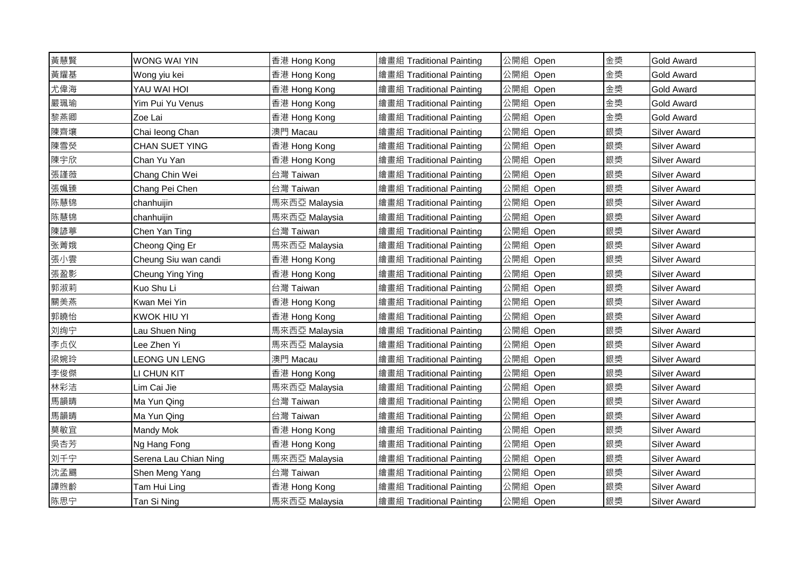| 黃慧賢 | WONG WAI YIN          | 香港 Hong Kong  | 繪畫組 Traditional Painting | 公開組 Open | 金獎 | <b>Gold Award</b>   |
|-----|-----------------------|---------------|--------------------------|----------|----|---------------------|
| 黃耀基 | Wong yiu kei          | 香港 Hong Kong  | 繪畫組 Traditional Painting | 公開組 Open | 金獎 | <b>Gold Award</b>   |
| 尤偉海 | YAU WAI HOI           | 香港 Hong Kong  | 繪畫組 Traditional Painting | 公開組 Open | 金獎 | Gold Award          |
| 嚴珮瑜 | Yim Pui Yu Venus      | 香港 Hong Kong  | 繪畫組 Traditional Painting | 公開組 Open | 金獎 | <b>Gold Award</b>   |
| 黎燕卿 | Zoe Lai               | 香港 Hong Kong  | 繪畫組 Traditional Painting | 公開組 Open | 金獎 | <b>Gold Award</b>   |
| 陳齊壤 | Chai leong Chan       | 澳門 Macau      | 繪畫組 Traditional Painting | 公開組 Open | 銀獎 | <b>Silver Award</b> |
| 陳雪熒 | <b>CHAN SUET YING</b> | 香港 Hong Kong  | 繪畫組 Traditional Painting | 公開組 Open | 銀獎 | <b>Silver Award</b> |
| 陳宇欣 | Chan Yu Yan           | 香港 Hong Kong  | 繪畫組 Traditional Painting | 公開組 Open | 銀獎 | <b>Silver Award</b> |
| 張謹薇 | Chang Chin Wei        | 台灣 Taiwan     | 繪畫組 Traditional Painting | 公開組 Open | 銀獎 | Silver Award        |
| 張姵臻 | Chang Pei Chen        | 台灣 Taiwan     | 繪畫組 Traditional Painting | 公開組 Open | 銀獎 | <b>Silver Award</b> |
| 陈慧锦 | chanhuijin            | 馬來西亞 Malaysia | 繪畫組 Traditional Painting | 公開組 Open | 銀獎 | <b>Silver Award</b> |
| 陈慧锦 | chanhuijin            | 馬來西亞 Malaysia | 繪畫組 Traditional Painting | 公開組 Open | 銀獎 | Silver Award        |
| 陳諺葶 | Chen Yan Ting         | 台灣 Taiwan     | 繪畫組 Traditional Painting | 公開組 Open | 銀獎 | <b>Silver Award</b> |
| 张菁娥 | Cheong Qing Er        | 馬來西亞 Malaysia | 繪畫組 Traditional Painting | 公開組 Open | 銀獎 | <b>Silver Award</b> |
| 張小雲 | Cheung Siu wan candi  | 香港 Hong Kong  | 繪畫組 Traditional Painting | 公開組 Open | 銀獎 | Silver Award        |
| 張盈影 | Cheung Ying Ying      | 香港 Hong Kong  | 繪畫組 Traditional Painting | 公開組 Open | 銀獎 | <b>Silver Award</b> |
| 郭淑莉 | Kuo Shu Li            | 台灣 Taiwan     | 繪畫組 Traditional Painting | 公開組 Open | 銀獎 | <b>Silver Award</b> |
| 關美燕 | Kwan Mei Yin          | 香港 Hong Kong  | 繪畫組 Traditional Painting | 公開組 Open | 銀獎 | <b>Silver Award</b> |
| 郭曉怡 | <b>KWOK HIU YI</b>    | 香港 Hong Kong  | 繪畫組 Traditional Painting | 公開組 Open | 銀獎 | <b>Silver Award</b> |
| 刘绚宁 | Lau Shuen Ning        | 馬來西亞 Malaysia | 繪畫組 Traditional Painting | 公開組 Open | 銀獎 | <b>Silver Award</b> |
| 李贞仪 | Lee Zhen Yi           | 馬來西亞 Malaysia | 繪畫組 Traditional Painting | 公開組 Open | 銀獎 | <b>Silver Award</b> |
| 梁婉玲 | <b>LEONG UN LENG</b>  | 澳門 Macau      | 繪畫組 Traditional Painting | 公開組 Open | 銀獎 | <b>Silver Award</b> |
| 李俊傑 | LI CHUN KIT           | 香港 Hong Kong  | 繪畫組 Traditional Painting | 公開組 Open | 銀獎 | <b>Silver Award</b> |
| 林彩洁 | Lim Cai Jie           | 馬來西亞 Malaysia | 繪畫組 Traditional Painting | 公開組 Open | 銀獎 | <b>Silver Award</b> |
| 馬韻晴 | Ma Yun Qing           | 台灣 Taiwan     | 繪畫組 Traditional Painting | 公開組 Open | 銀獎 | <b>Silver Award</b> |
| 馬韻晴 | Ma Yun Qing           | 台灣 Taiwan     | 繪畫組 Traditional Painting | 公開組 Open | 銀獎 | <b>Silver Award</b> |
| 莫敏宜 | Mandy Mok             | 香港 Hong Kong  | 繪畫組 Traditional Painting | 公開組 Open | 銀獎 | Silver Award        |
| 吳杏芳 | Ng Hang Fong          | 香港 Hong Kong  | 繪畫組 Traditional Painting | 公開組 Open | 銀獎 | Silver Award        |
| 刘千宁 | Serena Lau Chian Ning | 馬來西亞 Malaysia | 繪畫組 Traditional Painting | 公開組 Open | 銀獎 | <b>Silver Award</b> |
| 沈孟颺 | Shen Meng Yang        | 台灣 Taiwan     | 繪畫組 Traditional Painting | 公開組 Open | 銀獎 | <b>Silver Award</b> |
| 譚煦齡 | Tam Hui Ling          | 香港 Hong Kong  | 繪畫組 Traditional Painting | 公開組 Open | 銀獎 | <b>Silver Award</b> |
| 陈思宁 | Tan Si Ning           | 馬來西亞 Malaysia | 繪畫組 Traditional Painting | 公開組 Open | 銀獎 | <b>Silver Award</b> |